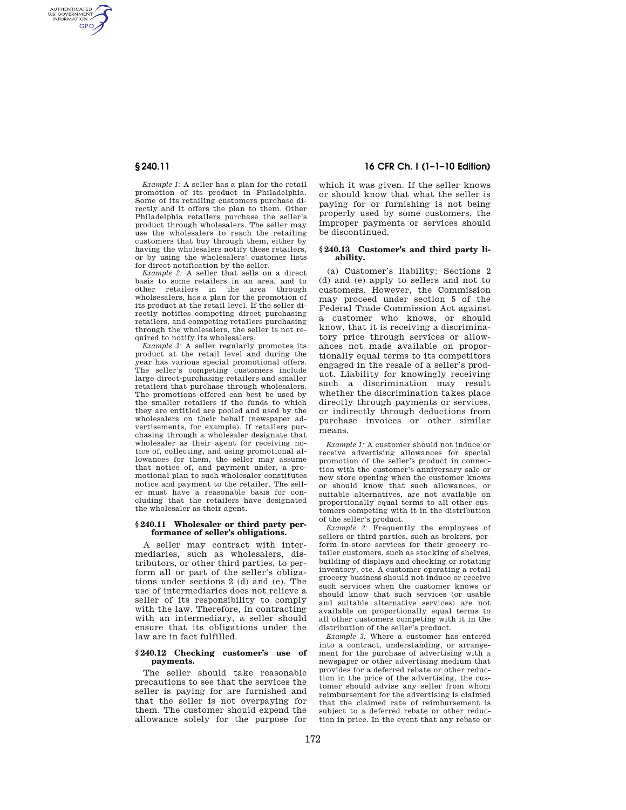AUTHENTICATED<br>U.S. GOVERNMENT<br>INFORMATION **GPO** 

> *Example 1:* A seller has a plan for the retail promotion of its product in Philadelphia. Some of its retailing customers purchase directly and it offers the plan to them. Other Philadelphia retailers purchase the seller's product through wholesalers. The seller may use the wholesalers to reach the retailing customers that buy through them, either by having the wholesalers notify these retailers, or by using the wholesalers' customer lists for direct notification by the seller.

> *Example 2:* A seller that sells on a direct basis to some retailers in an area, and to other retailers in the area through wholsesalers, has a plan for the promotion of its product at the retail level. If the seller directly notifies competing direct purchasing retailers, and competing retailers purchasing through the wholesalers, the seller is not required to notify its wholesalers.

> *Example 3:* A seller regularly promotes its product at the retail level and during the year has various special promotional offers. The seller's competing customers include large direct-purchasing retailers and smaller retailers that purchase through wholesalers. The promotions offered can best be used by the smaller retailers if the funds to which they are entitled are pooled and used by the wholesalers on their behalf (newspaper advertisements, for example). If retailers purchasing through a wholesaler designate that wholesaler as their agent for receiving notice of, collecting, and using promotional allowances for them, the seller may assume that notice of, and payment under, a promotional plan to such wholesaler constitutes notice and payment to the retailer. The seller must have a reasonable basis for concluding that the retailers have designated the wholesaler as their agent.

## **§ 240.11 Wholesaler or third party performance of seller's obligations.**

A seller may contract with intermediaries, such as wholesalers, distributors, or other third parties, to perform all or part of the seller's obligations under sections 2 (d) and (e). The use of intermediaries does not relieve a seller of its responsibility to comply with the law. Therefore, in contracting with an intermediary, a seller should ensure that its obligations under the law are in fact fulfilled.

# **§ 240.12 Checking customer's use of payments.**

The seller should take reasonable precautions to see that the services the seller is paying for are furnished and that the seller is not overpaying for them. The customer should expend the allowance solely for the purpose for

**§ 240.11 16 CFR Ch. I (1–1–10 Edition)** 

which it was given. If the seller knows or should know that what the seller is paying for or furnishing is not being properly used by some customers, the improper payments or services should be discontinued.

### **§ 240.13 Customer's and third party liability.**

(a) Customer's liability: Sections 2 (d) and (e) apply to sellers and not to customers. However, the Commission may proceed under section 5 of the Federal Trade Commission Act against a customer who knows, or should know, that it is receiving a discriminatory price through services or allowances not made available on proportionally equal terms to its competitors engaged in the resale of a seller's product. Liability for knowingly receiving such a discrimination may result whether the discrimination takes place directly through payments or services, or indirectly through deductions from purchase invoices or other similar means.

*Example 1:* A customer should not induce or receive advertising allowances for special promotion of the seller's product in connection with the customer's anniversary sale or new store opening when the customer knows or should know that such allowances, or suitable alternatives, are not available on proportionally equal terms to all other customers competing with it in the distribution of the seller's product.

*Example 2:* Frequently the employees of sellers or third parties, such as brokers, perform in-store services for their grocery retailer customers, such as stocking of shelves, building of displays and checking or rotating inventory, etc. A customer operating a retail grocery business should not induce or receive such services when the customer knows or should know that such services (or usable and suitable alternative services) are not available on proportionally equal terms to all other customers competing with it in the distribution of the seller's product.

*Example 3:* Where a customer has entered into a contract, understanding, or arrangement for the purchase of advertising with a newspaper or other advertising medium that provides for a deferred rebate or other reduction in the price of the advertising, the customer should advise any seller from whom reimbursement for the advertising is claimed that the claimed rate of reimbursement is subject to a deferred rebate or other reduction in price. In the event that any rebate or